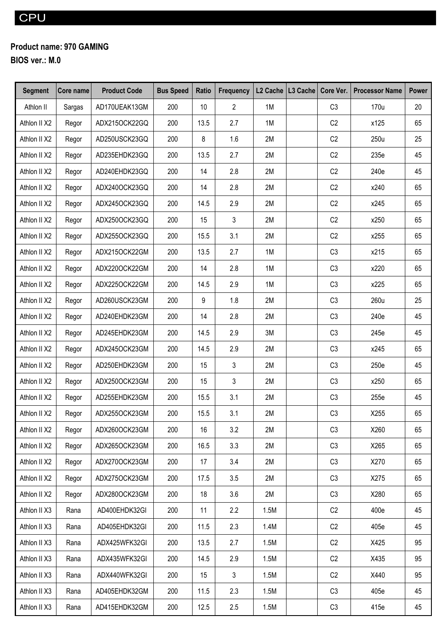## **Product name: 970 GAMING**

**BIOS ver.: M.0**

| <b>Segment</b> | Core name | <b>Product Code</b> | <b>Bus Speed</b> | Ratio | <b>Frequency</b> |      | L <sub>2</sub> Cache   L <sub>3</sub> Cache   Core Ver. | <b>Processor Name</b> | <b>Power</b> |
|----------------|-----------|---------------------|------------------|-------|------------------|------|---------------------------------------------------------|-----------------------|--------------|
| Athlon II      | Sargas    | AD170UEAK13GM       | 200              | 10    | $\overline{2}$   | 1M   | C <sub>3</sub>                                          | 170u                  | 20           |
| Athlon II X2   | Regor     | ADX215OCK22GQ       | 200              | 13.5  | 2.7              | 1M   | C <sub>2</sub>                                          | x125                  | 65           |
| Athlon II X2   | Regor     | AD250USCK23GQ       | 200              | 8     | 1.6              | 2M   | C2                                                      | 250u                  | 25           |
| Athlon II X2   | Regor     | AD235EHDK23GQ       | 200              | 13.5  | 2.7              | 2M   | C2                                                      | 235e                  | 45           |
| Athlon II X2   | Regor     | AD240EHDK23GQ       | 200              | 14    | 2.8              | 2M   | C2                                                      | 240e                  | 45           |
| Athlon II X2   | Regor     | ADX240OCK23GQ       | 200              | 14    | 2.8              | 2M   | C <sub>2</sub>                                          | x240                  | 65           |
| Athlon II X2   | Regor     | ADX245OCK23GQ       | 200              | 14.5  | 2.9              | 2M   | C <sub>2</sub>                                          | x245                  | 65           |
| Athlon II X2   | Regor     | ADX250OCK23GQ       | 200              | 15    | 3                | 2M   | C <sub>2</sub>                                          | x250                  | 65           |
| Athlon II X2   | Regor     | ADX255OCK23GQ       | 200              | 15.5  | 3.1              | 2M   | C <sub>2</sub>                                          | x255                  | 65           |
| Athlon II X2   | Regor     | ADX215OCK22GM       | 200              | 13.5  | 2.7              | 1M   | C <sub>3</sub>                                          | x215                  | 65           |
| Athlon II X2   | Regor     | ADX220OCK22GM       | 200              | 14    | 2.8              | 1M   | C <sub>3</sub>                                          | x220                  | 65           |
| Athlon II X2   | Regor     | ADX225OCK22GM       | 200              | 14.5  | 2.9              | 1M   | C <sub>3</sub>                                          | x225                  | 65           |
| Athlon II X2   | Regor     | AD260USCK23GM       | 200              | 9     | 1.8              | 2M   | C <sub>3</sub>                                          | 260u                  | 25           |
| Athlon II X2   | Regor     | AD240EHDK23GM       | 200              | 14    | 2.8              | 2M   | C <sub>3</sub>                                          | 240e                  | 45           |
| Athlon II X2   | Regor     | AD245EHDK23GM       | 200              | 14.5  | 2.9              | 3M   | C <sub>3</sub>                                          | 245e                  | 45           |
| Athlon II X2   | Regor     | ADX245OCK23GM       | 200              | 14.5  | 2.9              | 2M   | C <sub>3</sub>                                          | x245                  | 65           |
| Athlon II X2   | Regor     | AD250EHDK23GM       | 200              | 15    | 3                | 2M   | C <sub>3</sub>                                          | 250e                  | 45           |
| Athlon II X2   | Regor     | ADX250OCK23GM       | 200              | 15    | 3                | 2M   | C <sub>3</sub>                                          | x250                  | 65           |
| Athlon II X2   | Regor     | AD255EHDK23GM       | 200              | 15.5  | 3.1              | 2M   | C <sub>3</sub>                                          | 255e                  | 45           |
| Athlon II X2   | Regor     | ADX255OCK23GM       | 200              | 15.5  | 3.1              | 2M   | C <sub>3</sub>                                          | X255                  | 65           |
| Athlon II X2   | Regor     | ADX260OCK23GM       | 200              | 16    | 3.2              | 2M   | C <sub>3</sub>                                          | X260                  | 65           |
| Athlon II X2   | Regor     | ADX265OCK23GM       | 200              | 16.5  | 3.3              | 2M   | C <sub>3</sub>                                          | X265                  | 65           |
| Athlon II X2   | Regor     | ADX270OCK23GM       | 200              | 17    | 3.4              | 2M   | C <sub>3</sub>                                          | X270                  | 65           |
| Athlon II X2   | Regor     | ADX275OCK23GM       | 200              | 17.5  | 3.5              | 2M   | C <sub>3</sub>                                          | X275                  | 65           |
| Athlon II X2   | Regor     | ADX280OCK23GM       | 200              | 18    | 3.6              | 2M   | C <sub>3</sub>                                          | X280                  | 65           |
| Athlon II X3   | Rana      | AD400EHDK32GI       | 200              | 11    | 2.2              | 1.5M | C2                                                      | 400e                  | 45           |
| Athlon II X3   | Rana      | AD405EHDK32GI       | 200              | 11.5  | 2.3              | 1.4M | C2                                                      | 405e                  | 45           |
| Athlon II X3   | Rana      | ADX425WFK32GI       | 200              | 13.5  | 2.7              | 1.5M | C2                                                      | X425                  | 95           |
| Athlon II X3   | Rana      | ADX435WFK32GI       | 200              | 14.5  | 2.9              | 1.5M | C2                                                      | X435                  | 95           |
| Athlon II X3   | Rana      | ADX440WFK32GI       | 200              | 15    | $\mathfrak{Z}$   | 1.5M | C2                                                      | X440                  | 95           |
| Athlon II X3   | Rana      | AD405EHDK32GM       | 200              | 11.5  | 2.3              | 1.5M | C3                                                      | 405e                  | 45           |
| Athlon II X3   | Rana      | AD415EHDK32GM       | 200              | 12.5  | 2.5              | 1.5M | C <sub>3</sub>                                          | 415e                  | 45           |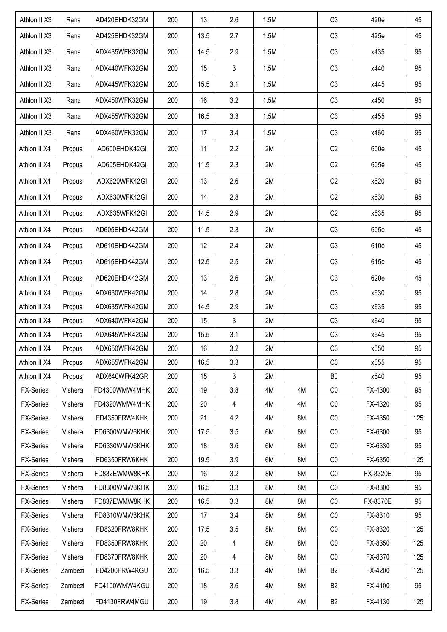| Athlon II X3     | Rana    | AD420EHDK32GM | 200 | 13   | 2.6            | 1.5M |    | C <sub>3</sub> | 420e     | 45  |
|------------------|---------|---------------|-----|------|----------------|------|----|----------------|----------|-----|
| Athlon II X3     | Rana    | AD425EHDK32GM | 200 | 13.5 | 2.7            | 1.5M |    | C <sub>3</sub> | 425e     | 45  |
| Athlon II X3     | Rana    | ADX435WFK32GM | 200 | 14.5 | 2.9            | 1.5M |    | C <sub>3</sub> | x435     | 95  |
| Athlon II X3     | Rana    | ADX440WFK32GM | 200 | 15   | 3              | 1.5M |    | C <sub>3</sub> | x440     | 95  |
| Athlon II X3     | Rana    | ADX445WFK32GM | 200 | 15.5 | 3.1            | 1.5M |    | C <sub>3</sub> | x445     | 95  |
| Athlon II X3     | Rana    | ADX450WFK32GM | 200 | 16   | 3.2            | 1.5M |    | C <sub>3</sub> | x450     | 95  |
| Athlon II X3     | Rana    | ADX455WFK32GM | 200 | 16.5 | 3.3            | 1.5M |    | C <sub>3</sub> | x455     | 95  |
| Athlon II X3     | Rana    | ADX460WFK32GM | 200 | 17   | 3.4            | 1.5M |    | C <sub>3</sub> | x460     | 95  |
| Athlon II X4     | Propus  | AD600EHDK42GI | 200 | 11   | 2.2            | 2M   |    | C <sub>2</sub> | 600e     | 45  |
| Athlon II X4     | Propus  | AD605EHDK42GI | 200 | 11.5 | 2.3            | 2M   |    | C <sub>2</sub> | 605e     | 45  |
| Athlon II X4     | Propus  | ADX620WFK42GI | 200 | 13   | 2.6            | 2M   |    | C2             | x620     | 95  |
| Athlon II X4     | Propus  | ADX630WFK42GI | 200 | 14   | 2.8            | 2M   |    | C <sub>2</sub> | x630     | 95  |
| Athlon II X4     | Propus  | ADX635WFK42GI | 200 | 14.5 | 2.9            | 2M   |    | C2             | x635     | 95  |
| Athlon II X4     | Propus  | AD605EHDK42GM | 200 | 11.5 | 2.3            | 2M   |    | C <sub>3</sub> | 605e     | 45  |
| Athlon II X4     | Propus  | AD610EHDK42GM | 200 | 12   | 2.4            | 2M   |    | C <sub>3</sub> | 610e     | 45  |
| Athlon II X4     | Propus  | AD615EHDK42GM | 200 | 12.5 | 2.5            | 2M   |    | C <sub>3</sub> | 615e     | 45  |
| Athlon II X4     | Propus  | AD620EHDK42GM | 200 | 13   | 2.6            | 2M   |    | C <sub>3</sub> | 620e     | 45  |
| Athlon II X4     | Propus  | ADX630WFK42GM | 200 | 14   | 2.8            | 2M   |    | C <sub>3</sub> | x630     | 95  |
| Athlon II X4     | Propus  | ADX635WFK42GM | 200 | 14.5 | 2.9            | 2M   |    | C <sub>3</sub> | x635     | 95  |
| Athlon II X4     | Propus  | ADX640WFK42GM | 200 | 15   | 3              | 2M   |    | C <sub>3</sub> | x640     | 95  |
| Athlon II X4     | Propus  | ADX645WFK42GM | 200 | 15.5 | 3.1            | 2M   |    | C3             | x645     | 95  |
| Athlon II X4     | Propus  | ADX650WFK42GM | 200 | 16   | 3.2            | 2M   |    | C <sub>3</sub> | x650     | 95  |
| Athlon II X4     | Propus  | ADX655WFK42GM | 200 | 16.5 | 3.3            | 2M   |    | C <sub>3</sub> | x655     | 95  |
| Athlon II X4     | Propus  | ADX640WFK42GR | 200 | 15   | $\mathfrak{Z}$ | 2M   |    | B <sub>0</sub> | x640     | 95  |
| <b>FX-Series</b> | Vishera | FD4300WMW4MHK | 200 | 19   | 3.8            | 4M   | 4M | CO             | FX-4300  | 95  |
| <b>FX-Series</b> | Vishera | FD4320WMW4MHK | 200 | 20   | $\overline{4}$ | 4M   | 4M | CO             | FX-4320  | 95  |
| <b>FX-Series</b> | Vishera | FD4350FRW4KHK | 200 | 21   | 4.2            | 4M   | 8M | CO             | FX-4350  | 125 |
| <b>FX-Series</b> | Vishera | FD6300WMW6KHK | 200 | 17.5 | 3.5            | 6M   | 8M | CO             | FX-6300  | 95  |
| <b>FX-Series</b> | Vishera | FD6330WMW6KHK | 200 | 18   | 3.6            | 6M   | 8M | CO             | FX-6330  | 95  |
| <b>FX-Series</b> | Vishera | FD6350FRW6KHK | 200 | 19.5 | 3.9            | 6M   | 8M | CO             | FX-6350  | 125 |
| <b>FX-Series</b> | Vishera | FD832EWMW8KHK | 200 | 16   | 3.2            | 8M   | 8M | CO             | FX-8320E | 95  |
| <b>FX-Series</b> | Vishera | FD8300WMW8KHK | 200 | 16.5 | 3.3            | 8M   | 8M | CO             | FX-8300  | 95  |
| <b>FX-Series</b> | Vishera | FD837EWMW8KHK | 200 | 16.5 | 3.3            | 8M   | 8M | CO             | FX-8370E | 95  |
| <b>FX-Series</b> | Vishera | FD8310WMW8KHK | 200 | 17   | 3.4            | 8M   | 8M | CO             | FX-8310  | 95  |
| FX-Series        | Vishera | FD8320FRW8KHK | 200 | 17.5 | 3.5            | 8M   | 8M | CO             | FX-8320  | 125 |
| <b>FX-Series</b> | Vishera | FD8350FRW8KHK | 200 | 20   | 4              | 8M   | 8M | CO             | FX-8350  | 125 |
| <b>FX-Series</b> | Vishera | FD8370FRW8KHK | 200 | 20   | $\overline{4}$ | 8M   | 8M | CO             | FX-8370  | 125 |
| <b>FX-Series</b> | Zambezi | FD4200FRW4KGU | 200 | 16.5 | 3.3            | 4M   | 8M | B <sub>2</sub> | FX-4200  | 125 |
| <b>FX-Series</b> | Zambezi | FD4100WMW4KGU | 200 | 18   | 3.6            | 4M   | 8M | <b>B2</b>      | FX-4100  | 95  |
| <b>FX-Series</b> | Zambezi | FD4130FRW4MGU | 200 | 19   | 3.8            | 4M   | 4M | B <sub>2</sub> | FX-4130  | 125 |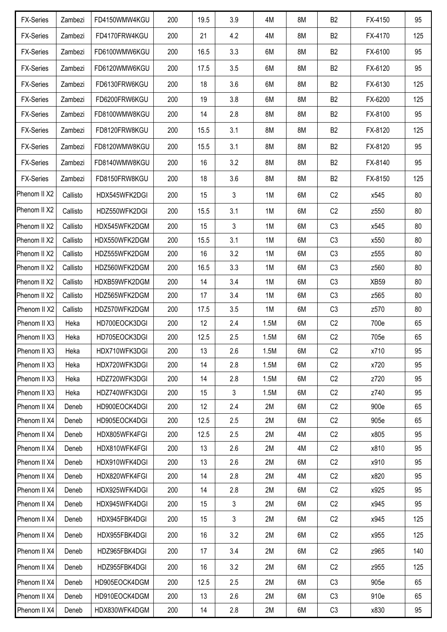| <b>FX-Series</b> | Zambezi  | FD4150WMW4KGU | 200 | 19.5 | 3.9 | 4M   | 8M | <b>B2</b>      | FX-4150     | 95  |
|------------------|----------|---------------|-----|------|-----|------|----|----------------|-------------|-----|
| <b>FX-Series</b> | Zambezi  | FD4170FRW4KGU | 200 | 21   | 4.2 | 4M   | 8M | B <sub>2</sub> | FX-4170     | 125 |
| <b>FX-Series</b> | Zambezi  | FD6100WMW6KGU | 200 | 16.5 | 3.3 | 6M   | 8M | B <sub>2</sub> | FX-6100     | 95  |
| <b>FX-Series</b> | Zambezi  | FD6120WMW6KGU | 200 | 17.5 | 3.5 | 6M   | 8M | B <sub>2</sub> | FX-6120     | 95  |
| <b>FX-Series</b> | Zambezi  | FD6130FRW6KGU | 200 | 18   | 3.6 | 6M   | 8M | B <sub>2</sub> | FX-6130     | 125 |
| <b>FX-Series</b> | Zambezi  | FD6200FRW6KGU | 200 | 19   | 3.8 | 6M   | 8M | <b>B2</b>      | FX-6200     | 125 |
| <b>FX-Series</b> | Zambezi  | FD8100WMW8KGU | 200 | 14   | 2.8 | 8M   | 8M | <b>B2</b>      | FX-8100     | 95  |
| <b>FX-Series</b> | Zambezi  | FD8120FRW8KGU | 200 | 15.5 | 3.1 | 8M   | 8M | <b>B2</b>      | FX-8120     | 125 |
| <b>FX-Series</b> | Zambezi  | FD8120WMW8KGU | 200 | 15.5 | 3.1 | 8M   | 8M | B <sub>2</sub> | FX-8120     | 95  |
| <b>FX-Series</b> | Zambezi  | FD8140WMW8KGU | 200 | 16   | 3.2 | 8M   | 8M | B <sub>2</sub> | FX-8140     | 95  |
| <b>FX-Series</b> | Zambezi  | FD8150FRW8KGU | 200 | 18   | 3.6 | 8M   | 8M | B <sub>2</sub> | FX-8150     | 125 |
| Phenom II X2     | Callisto | HDX545WFK2DGI | 200 | 15   | 3   | 1M   | 6M | C2             | x545        | 80  |
| Phenom II X2     | Callisto | HDZ550WFK2DGI | 200 | 15.5 | 3.1 | 1M   | 6M | C2             | z550        | 80  |
| Phenom II X2     | Callisto | HDX545WFK2DGM | 200 | 15   | 3   | 1M   | 6M | C3             | x545        | 80  |
| Phenom II X2     | Callisto | HDX550WFK2DGM | 200 | 15.5 | 3.1 | 1M   | 6M | C <sub>3</sub> | x550        | 80  |
| Phenom II X2     | Callisto | HDZ555WFK2DGM | 200 | 16   | 3.2 | 1M   | 6M | C3             | z555        | 80  |
| Phenom II X2     | Callisto | HDZ560WFK2DGM | 200 | 16.5 | 3.3 | 1M   | 6M | C <sub>3</sub> | z560        | 80  |
| Phenom II X2     | Callisto | HDXB59WFK2DGM | 200 | 14   | 3.4 | 1M   | 6M | C <sub>3</sub> | <b>XB59</b> | 80  |
| Phenom II X2     | Callisto | HDZ565WFK2DGM | 200 | 17   | 3.4 | 1M   | 6M | C <sub>3</sub> | z565        | 80  |
| Phenom II X2     | Callisto | HDZ570WFK2DGM | 200 | 17.5 | 3.5 | 1M   | 6M | C <sub>3</sub> | z570        | 80  |
| Phenom II X3     | Heka     | HD700EOCK3DGI | 200 | 12   | 2.4 | 1.5M | 6M | C2             | 700e        | 65  |
| Phenom II X3     | Heka     | HD705EOCK3DGI | 200 | 12.5 | 2.5 | 1.5M | 6M | C2             | 705e        | 65  |
| Phenom II X3     | Heka     | HDX710WFK3DGI | 200 | 13   | 2.6 | 1.5M | 6M | C <sub>2</sub> | x710        | 95  |
| Phenom II X3     | Heka     | HDX720WFK3DGI | 200 | 14   | 2.8 | 1.5M | 6M | C2             | x720        | 95  |
| Phenom II X3     | Heka     | HDZ720WFK3DGI | 200 | 14   | 2.8 | 1.5M | 6M | C2             | z720        | 95  |
| Phenom II X3     | Heka     | HDZ740WFK3DGI | 200 | 15   | 3   | 1.5M | 6M | C2             | z740        | 95  |
| Phenom II X4     | Deneb    | HD900EOCK4DGI | 200 | 12   | 2.4 | 2M   | 6M | C2             | 900e        | 65  |
| Phenom II X4     | Deneb    | HD905EOCK4DGI | 200 | 12.5 | 2.5 | 2M   | 6M | C2             | 905e        | 65  |
| Phenom II X4     | Deneb    | HDX805WFK4FGI | 200 | 12.5 | 2.5 | 2M   | 4M | C2             | x805        | 95  |
| Phenom II X4     | Deneb    | HDX810WFK4FGI | 200 | 13   | 2.6 | 2M   | 4M | C2             | x810        | 95  |
| Phenom II X4     | Deneb    | HDX910WFK4DGI | 200 | 13   | 2.6 | 2M   | 6M | C2             | x910        | 95  |
| Phenom II X4     | Deneb    | HDX820WFK4FGI | 200 | 14   | 2.8 | 2M   | 4M | C <sub>2</sub> | x820        | 95  |
| Phenom II X4     | Deneb    | HDX925WFK4DGI | 200 | 14   | 2.8 | 2M   | 6M | C2             | x925        | 95  |
| Phenom II X4     | Deneb    | HDX945WFK4DGI | 200 | 15   | 3   | 2M   | 6M | C2             | x945        | 95  |
| Phenom II X4     | Deneb    | HDX945FBK4DGI | 200 | 15   | 3   | 2M   | 6M | C2             | x945        | 125 |
| Phenom II X4     | Deneb    | HDX955FBK4DGI | 200 | 16   | 3.2 | 2M   | 6M | C2             | x955        | 125 |
| Phenom II X4     | Deneb    | HDZ965FBK4DGI | 200 | 17   | 3.4 | 2M   | 6M | C2             | z965        | 140 |
| Phenom II X4     | Deneb    | HDZ955FBK4DGI | 200 | 16   | 3.2 | 2M   | 6M | C <sub>2</sub> | z955        | 125 |
| Phenom II X4     | Deneb    | HD905EOCK4DGM | 200 | 12.5 | 2.5 | 2M   | 6M | C <sub>3</sub> | 905e        | 65  |
| Phenom II X4     | Deneb    | HD910EOCK4DGM | 200 | 13   | 2.6 | 2M   | 6M | C3             | 910e        | 65  |
| Phenom II X4     | Deneb    | HDX830WFK4DGM | 200 | 14   | 2.8 | 2M   | 6M | C3             | x830        | 95  |